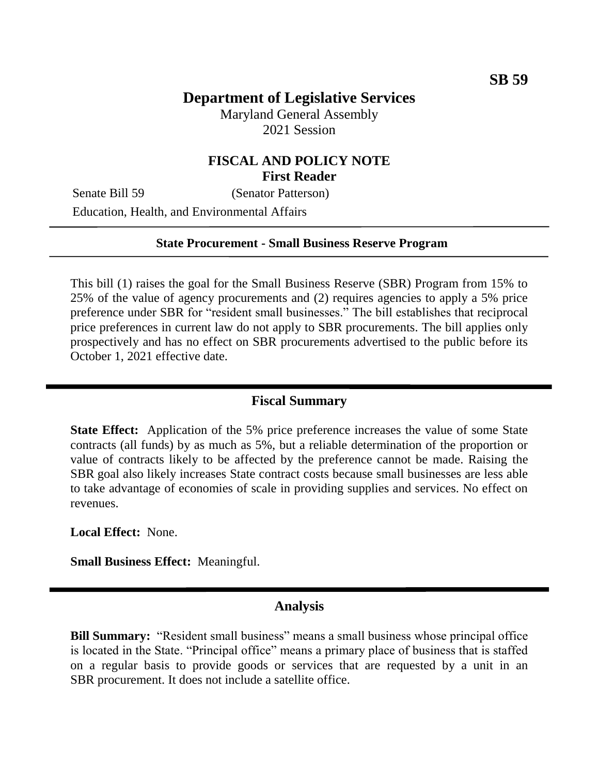# **Department of Legislative Services**

Maryland General Assembly 2021 Session

## **FISCAL AND POLICY NOTE First Reader**

Senate Bill 59 (Senator Patterson)

Education, Health, and Environmental Affairs

#### **State Procurement - Small Business Reserve Program**

This bill (1) raises the goal for the Small Business Reserve (SBR) Program from 15% to 25% of the value of agency procurements and (2) requires agencies to apply a 5% price preference under SBR for "resident small businesses." The bill establishes that reciprocal price preferences in current law do not apply to SBR procurements. The bill applies only prospectively and has no effect on SBR procurements advertised to the public before its October 1, 2021 effective date.

### **Fiscal Summary**

**State Effect:** Application of the 5% price preference increases the value of some State contracts (all funds) by as much as 5%, but a reliable determination of the proportion or value of contracts likely to be affected by the preference cannot be made. Raising the SBR goal also likely increases State contract costs because small businesses are less able to take advantage of economies of scale in providing supplies and services. No effect on revenues.

**Local Effect:** None.

**Small Business Effect:** Meaningful.

## **Analysis**

**Bill Summary:** "Resident small business" means a small business whose principal office is located in the State. "Principal office" means a primary place of business that is staffed on a regular basis to provide goods or services that are requested by a unit in an SBR procurement. It does not include a satellite office.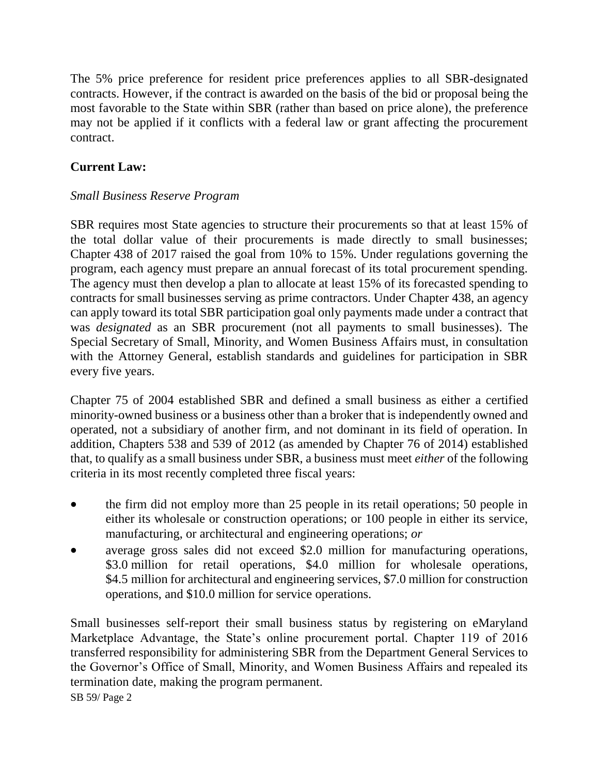The 5% price preference for resident price preferences applies to all SBR-designated contracts. However, if the contract is awarded on the basis of the bid or proposal being the most favorable to the State within SBR (rather than based on price alone), the preference may not be applied if it conflicts with a federal law or grant affecting the procurement contract.

# **Current Law:**

# *Small Business Reserve Program*

SBR requires most State agencies to structure their procurements so that at least 15% of the total dollar value of their procurements is made directly to small businesses; Chapter 438 of 2017 raised the goal from 10% to 15%. Under regulations governing the program, each agency must prepare an annual forecast of its total procurement spending. The agency must then develop a plan to allocate at least 15% of its forecasted spending to contracts for small businesses serving as prime contractors. Under Chapter 438, an agency can apply toward its total SBR participation goal only payments made under a contract that was *designated* as an SBR procurement (not all payments to small businesses). The Special Secretary of Small, Minority, and Women Business Affairs must, in consultation with the Attorney General, establish standards and guidelines for participation in SBR every five years.

Chapter 75 of 2004 established SBR and defined a small business as either a certified minority-owned business or a business other than a broker that is independently owned and operated, not a subsidiary of another firm, and not dominant in its field of operation. In addition, Chapters 538 and 539 of 2012 (as amended by Chapter 76 of 2014) established that, to qualify as a small business under SBR, a business must meet *either* of the following criteria in its most recently completed three fiscal years:

- the firm did not employ more than 25 people in its retail operations; 50 people in either its wholesale or construction operations; or 100 people in either its service, manufacturing, or architectural and engineering operations; *or*
- average gross sales did not exceed \$2.0 million for manufacturing operations, \$3.0 million for retail operations, \$4.0 million for wholesale operations, \$4.5 million for architectural and engineering services, \$7.0 million for construction operations, and \$10.0 million for service operations.

Small businesses self-report their small business status by registering on eMaryland Marketplace Advantage, the State's online procurement portal. Chapter 119 of 2016 transferred responsibility for administering SBR from the Department General Services to the Governor's Office of Small, Minority, and Women Business Affairs and repealed its termination date, making the program permanent.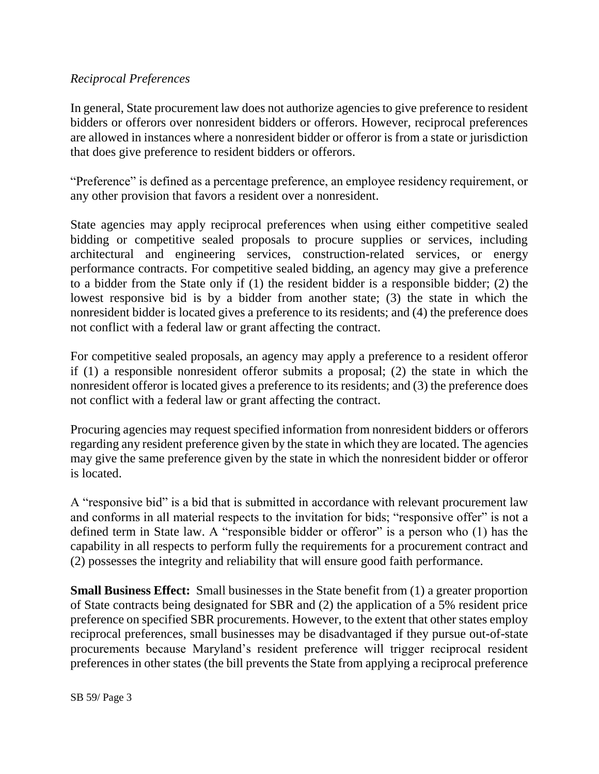### *Reciprocal Preferences*

In general, State procurement law does not authorize agencies to give preference to resident bidders or offerors over nonresident bidders or offerors. However, reciprocal preferences are allowed in instances where a nonresident bidder or offeror is from a state or jurisdiction that does give preference to resident bidders or offerors.

"Preference" is defined as a percentage preference, an employee residency requirement, or any other provision that favors a resident over a nonresident.

State agencies may apply reciprocal preferences when using either competitive sealed bidding or competitive sealed proposals to procure supplies or services, including architectural and engineering services, construction-related services, or energy performance contracts. For competitive sealed bidding, an agency may give a preference to a bidder from the State only if (1) the resident bidder is a responsible bidder; (2) the lowest responsive bid is by a bidder from another state; (3) the state in which the nonresident bidder is located gives a preference to its residents; and (4) the preference does not conflict with a federal law or grant affecting the contract.

For competitive sealed proposals, an agency may apply a preference to a resident offeror if (1) a responsible nonresident offeror submits a proposal; (2) the state in which the nonresident offeror is located gives a preference to its residents; and (3) the preference does not conflict with a federal law or grant affecting the contract.

Procuring agencies may request specified information from nonresident bidders or offerors regarding any resident preference given by the state in which they are located. The agencies may give the same preference given by the state in which the nonresident bidder or offeror is located.

A "responsive bid" is a bid that is submitted in accordance with relevant procurement law and conforms in all material respects to the invitation for bids; "responsive offer" is not a defined term in State law. A "responsible bidder or offeror" is a person who (1) has the capability in all respects to perform fully the requirements for a procurement contract and (2) possesses the integrity and reliability that will ensure good faith performance.

**Small Business Effect:** Small businesses in the State benefit from (1) a greater proportion of State contracts being designated for SBR and (2) the application of a 5% resident price preference on specified SBR procurements. However, to the extent that other states employ reciprocal preferences, small businesses may be disadvantaged if they pursue out-of-state procurements because Maryland's resident preference will trigger reciprocal resident preferences in other states (the bill prevents the State from applying a reciprocal preference